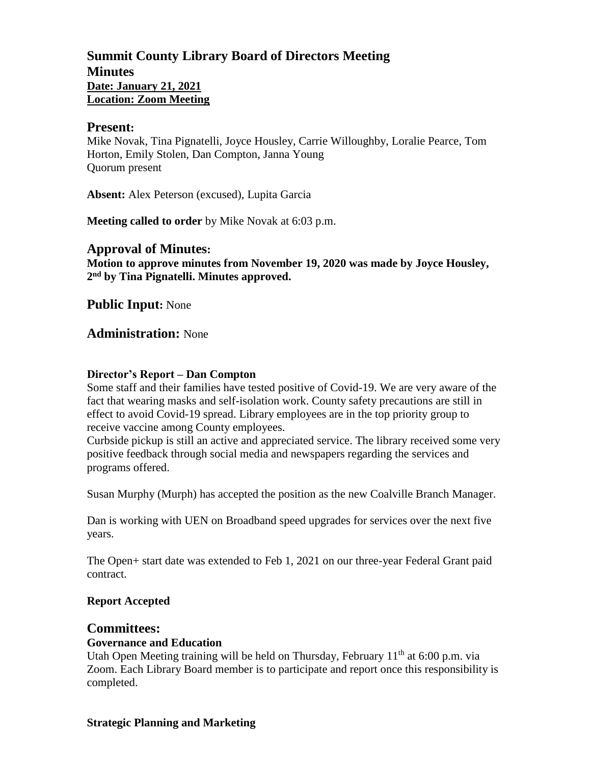## **Summit County Library Board of Directors Meeting Minutes Date: January 21, 2021 Location: Zoom Meeting**

### **Present:**

Mike Novak, Tina Pignatelli, Joyce Housley, Carrie Willoughby, Loralie Pearce, Tom Horton, Emily Stolen, Dan Compton, Janna Young Quorum present

**Absent:** Alex Peterson (excused), Lupita Garcia

**Meeting called to order** by Mike Novak at 6:03 p.m.

### **Approval of Minutes:**

**Motion to approve minutes from November 19, 2020 was made by Joyce Housley, 2 nd by Tina Pignatelli. Minutes approved.** 

**Public Input:** None

### **Administration:** None

#### **Director's Report – Dan Compton**

Some staff and their families have tested positive of Covid-19. We are very aware of the fact that wearing masks and self-isolation work. County safety precautions are still in effect to avoid Covid-19 spread. Library employees are in the top priority group to receive vaccine among County employees.

Curbside pickup is still an active and appreciated service. The library received some very positive feedback through social media and newspapers regarding the services and programs offered.

Susan Murphy (Murph) has accepted the position as the new Coalville Branch Manager.

Dan is working with UEN on Broadband speed upgrades for services over the next five years.

The Open+ start date was extended to Feb 1, 2021 on our three-year Federal Grant paid contract.

### **Report Accepted**

### **Committees:**

### **Governance and Education**

Utah Open Meeting training will be held on Thursday, February  $11<sup>th</sup>$  at 6:00 p.m. via Zoom. Each Library Board member is to participate and report once this responsibility is completed.

#### **Strategic Planning and Marketing**